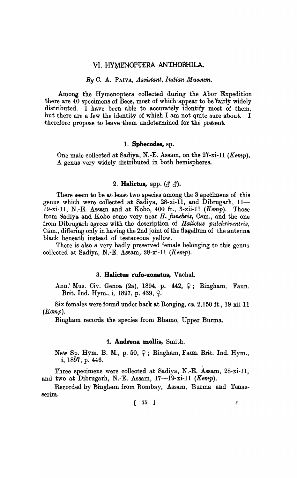# VI. HYMENOPTERA ANTHOPHILA.

# *By* C. A. PAIVA, *Assistant, Indian Museum.*

Among the Hymenoptera collected during the Abor Expedition there are  $40$  specimens of Bees, most of which appear to be fairly widely distributed. I have been able to accurately identify most of them, but there are a few the identity of which I am not quite sure about. I therefore propose to leave them undetermined for the present.

#### 1. **Sphecodes,** ap.

One male collected at Sadiya, N.-E. Assam, on the  $27$ -xi-ll (Kemp). A genus very widely distributed in both hemispheres.

# 2. **Halictus**, spp.  $(\delta \delta)$ .

There seem to be at least two species among the 3 specimens of this genus which were collected at Sadiya,  $28$ -xi- $11$ , and Dibrugarh,  $11-$ 19-xi-11, N.-E. Assam and at Kobo, 400 ft., 3-xii-11  $(Kemp)$ . Those from Sadiya and Kobo come very near *H. funebris,* Cam., and the one from Dibrugarh agrees with the description of *Halictus pulchriventris,*  Cam., differing only in having the 2nd joint of the flagellum of the antenna black beneath instead of testaceous yellow.

There is also a very badly preserved female belonging to this genus collected at Sadiya, N.-E. Assam, 28-xi-ll *(Kemp).* 

# 3. Halictus rufo-zonatus, Vachal.

Ann. Mus. Civ. Genoa (2a), 1894, p. 442,  $\varphi$ ; Bingham, Faun. Brit. Ind. Hym., i, 1897, p. 439,  $Q$ .

Six females were found under bark at Renging, *ca.* 2,150 ft., 19-xii-ll  $(Kemp).$ 

Bingham records the species from Bhamo, Upper Burma.

# <sup>4</sup>'0 **Andrena molIis,** Smith.

New Sp. Hym. B. M., p. 50,  $\varphi$ ; Bingham, Faun. Brit. Ind. Hym., i, 1897, p. 446.

Three specimens were collected at Sadiya, N.-E. Assam, 28-xi-ll, and two at Dibrugarh, N.-E. Assam,  $17-19$ -xi-11 *(Kemp)*.

Recorded by Bingham from Bombay, Assam, Burma and Tenasserim.

 $\begin{bmatrix} 75 \end{bmatrix}$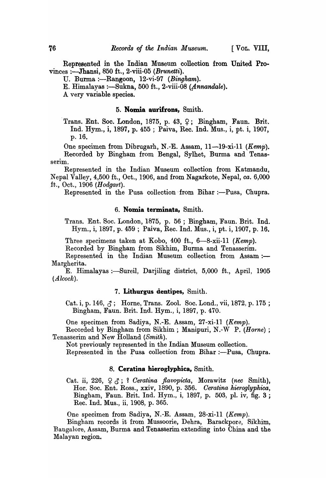Represented in the Indian Museum collection from United Provinces :-Jhansi, 850 ft., 2-viii-05 *(Brunetti).* 

U. Burma :-Rangoon, 12-vi-97 *(Bingham)*.

E. Himalayas :- Sukna, 500 ft., 2-viii-08 (Annandale).

A very variable species.

# 5. Nomia aurifrons, Smith.

Trans. Ent. Soc. London, 1875, p. 43,  $\varphi$ ; Bingham, Faun. Brit. Ind. Hyrn., i, 1897, p. 455 ; Paiva, Rec. Ind. Mus., i, *pt.* i, 1907, p.16.

One specimen from Dibrugarh, N.-E. Assam, 11-19-xi-11 *(Kemp)*. Recorded by Bingham from Bengal, Sylhet, Burma and Tenasserim.

Represented in the Indian Museum collection from Katmandu, Nepal Valley, 4,500 ft., Oct., 1906, and from Nagarkote, Nepal, *ca.* 6,000 ft., Oct., 1906 *(Hodgart)*.

Represented in the Pusa collection from Bihar :---Pusa, Chupra.

#### 6. Nomia terminata, Smith.

Trans. Ent. Soc. London, 1875, p. 56 ; Bingham, Faun. Brit. Ind. Hym., i; 1897, p. 459 ; Paiva, Rec. Ind. Mus., i, pt. i, 1907, p. 16.

Three specimens taken at Kobo, 400 ft., 6-8-xii-11 *(Kemp)*.

Recorded by Bingham from Sikhim, Burma and Tenasserim.

Represented in the Indian Museum collection from Assam:-Margherita.

E. Himalayas :-Sureil, Darjiling district, 5,000 ft., April, 1905 *(Alcock).* 

#### 7. Lithurgus dentipes, Smith.

Cat. i, p. 146,  $\zeta$ ; Horne, Trans. Zool. Soc. Lond., vii, 1872, p. 175; Bingham, Faun. Brit. Ind. Hym., i, 1897, p. 470.

One specimen from Sadiya, N.-E. Assam, 27-xi-11 *(Kemp)*.

Recorded by Bingham from Sikhim ; Manipuri, N.-W P. *(Horne) ;*  Tenasserim and New Holland (Smith).

Not previously represented in the Indian Museum collection.

Represented in the Pusa collection from Bihar :- Pusa, Chupra.

### 8. Ceratina hieroglyphica, Smith.

Cat. ii, 226,  $\varphi$   $\zeta$ ; ? *Ceratina flavopicta*, Morawitz (nec Smith), Hor. Soc. Ent. Ross., xxiv, 1890, p. 356. *Oeratina hieroglyphica,*  Bingham, Faun. Brit. Ind. Hym., i, 1897, p. 503, pI. iv, fig. 3 ; Rec. Ind. Mus., ii, 1908, p. 365.

One specimen from Sadiya, N.-E. Assam, 28-xi-11 (Kemp).

Bingham records it from Mussoorie, Dehra, Barackpore, Sikhim, Bangalore, Assam, Burma and Tenasserim extending into China and the Malayan region.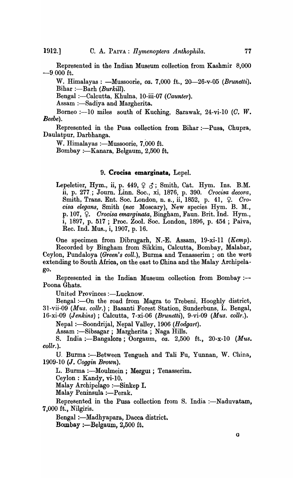Represented in the Indian Museum collection from Kashmir 8,000 -9,000 ft.

W. Himalayas: - Mussoorie, *ca.* 7,000 ft., 20-26-v-05 *(Brunetti)*. Bihar :-Barh *(Burkill)*.

Bengal :- Calcutta, Khulna, 10-iii-07 *(Caunter)*.

Assam :- Sadiya and Margherita.

Borneo :-10 miles south of Kuching, Sarawak, 24-vi-10  $(C, W)$ . *Beebe).* 

Represented in the Pusa collection from Bihar :- Pusa, Chupra, Daulatpur, Darbhanga.

W. Himalayas :- Mussoorie, 7,000 ft.

Bombay :- Kanara, Belgaum, 2,500 ft.

# 9. **Crocisa emarginata,** LepeL

Lepeletier, Hym., ii, p. 449,  $\varphi$   $\beta$ ; Smith, Cat. Hym. Ins. B.M. ii, p. 277.; Journ. Linn. Soc., xi, 1876, p. 390. *Grocisa decora,*  Smith, Trans. Ent. Soc. London, n. s., ii, 1852, p. 41, 9. *Crocisa elegans,* Smith *(nec* Moscary), New species Hym. B. M., p. 107, <sup>9</sup>. *Crocisa emarginata*, Bingham, Faun. Brit. Ind. Hym., i, 1897, p. 517 ; Proc. Zool. Soc. London, 1896, p. 454 ; Paiva, Rec. Ind. Mus., i, 1907, p. 16.

One specimen from Dibrugarh, N.-E. Assam, 19-xi-ll *(Kemp).*  Recorded by Bingham from Sikkim, Calcutta, Bombay, Malabar, Ceylon, Pundaloya *(Green's coll.)*, Burma and Tenasserim; on the west extending to South Africa, on the east to China and the Malay Archipelago.

Represented in the Indian Museum collection from Bombay :-- Poona Ghats.

United Provinces :- Lucknow.

Bengal :- On the road from Magra to Trebeni, Hooghly district, 31-vii-09 *(Mus. collr.)* ; Basanti Forest Station, Sunderbuns, L. Bengal, 16-xi-09 *(Jenkins)* ; Calcutta, 7-xi-06 *(Brunetti),* 9-vi-09 *(Mus. collr.).* 

Nepal :-Soondrijal, Nepal Valley, 1906 *(Hodgart)*.

Assam :-Sibsagar ; Margherita ; Naga Hills.

S. India :-Bangalore ; Oorgaum, *ca.* 2,500 ft., 20-x-lO *(Mus. collr.).* 

U. Burma :- Between Tengueh and Tali Fu, Yunnan, W. China, *1909-10* (J. *Goggin Brown).* 

L. Burma :- Moulmein ; Mergul; Tenasserim.

Ceylon: Kandy, vi-lO.

Malay Archipelago :- Sinkep I.

Malay Peninsula :- Perak.

Represented in the Pusa collection from S. India :- Naduvatam, 7,000 ft., Nilgiris.

Bengal :- Madhyapara, Dacca district. Bombay :- Belgaum,  $2,500$  ft.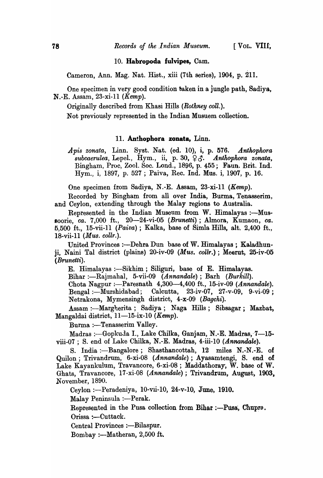# 10. Habropoda fulvipes, Cam.

Cameron, Ann. Mag. Nat. Rist., xiii (7th series), 1904, p. 211.

One specimen in very good condition baken in a jungle path, Sadiya, N.-E. Assam, 23-xi-11 *(Kemp).* 

Originally described from Khasi Hills *(Rothney coll.)*.

Not previously represented in the Indian Musuem collection.

### 11. Anthophora zonata, Linn.

*Apis zonata,* Linn. Syat. Nat. (ed. 10), i, p. ~76. *Anthophora*   $Subcaerulea, \text{ Lepel., Hym., ii, p. 30, \frac{1}{2} \delta$ . *Anthophora zonata*, Bingham, Proc, Zool. Soc. Lond., 1896, p. 455; Faun. Brit. Ind. Hyrn., i, 1897, p. 527 ; Paiva, Rec. Ind. Mus. i, 1907, p. 16.

One specimen from Sadiya, N.-E. Assam, 23-xi-l1 (Kemp).

Recorded by Bingham from all over India, Burma, Tenasserim, and Ceylon, extending through the Malay regions to Australia.

Represented in the Indian Museum from W. Himalayas :- Mussoorie, *ca.* 7,000 ft., 20-24-vi-05 *(Brunetti);* Almora, Kumaon, *ca.*  0,500 ft., 15-vii-ll (Paiva); Kalka, base of Simla Hills, alt. 2,400 ft., 18-vii-l1 *(Mus. collr.).* 

United Provinces :- Dehra Dun base of W. Himalayas; Kaladhunji, Naini Tal district (plains) 20-iv-09 *(Mus. collr.);* Meerut, 25-iv-05 *(Brunetti).* 

E. Himalayas :—Sikhim ; Siliguri, base of E. Himalayas.

Bihar :-Rajmahal, 5-vii-09 *(Annandale)*; Barh *(Burkill).* 

Chota Nagpur :—Paresnath  $4,300-4,400$  ft., 15-iv-09 *(Annandale)*. Bengal :- Murshidabad; Calcutta, 23-iv-07, 27-v-09, 9-vi-09; Netrakona, Mymensingh district, 4-x-09 *(Bagchi).* 

Assam :- Margherita; Sadiya; Naga Hills; Sibsagar; Mazbat, Mangaldai district, 11-15-ix-10 *(Kemp)*.

Burma :- Tenasserim Valley.

Madras :—Gopkuda I., Lake Chilka, Ganjam, N.-E. Madras, 7—15viii-07 ; S. end of Lake Chilka, N.-E. Madras, 4-iii-10 *(Annandale)*.

S. India :--Bangalore; Shasthancottah, 12 miles N.-N.-E. of Quilon; Trivandrum, 6-xi-08 *(Annandale);* Ayasamtengi, S. end of Lake Kayankulum, Travancore, 6-xi-08; Maddathoray, W. base of W. Ghats, Travancore, 17-xi-08 *(Annandale)*; Trivandrum, August, 1903, November, 1890.

Ceylon :- Peradeniya, 10-vii-10, 24-v-10, June, 1910.

Malay Peninsula :- Perak.

Represented in the Pusa collection from Bihar :--Pusa, Chupra. Orissa :- Cuttack.

Central Provinces :- Bilaspur.

 $Bombay := Matheran, 2,500$  ft.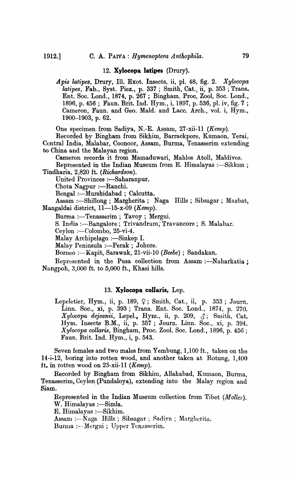#### 12. **Xylocopa latipes** (Drury).

*Apis latipes,* Drury, Ill. Exot. Insects, ii, pI. 48, fig. 2. *Xylocopa lalipes,* Fab., Syst. Piez., p. 337 ; Smith, Cat., ii, p. 353 ; Trans. Ent. Soc. Lond., 1874, p. 267 ; Bingham, Proc, Zool, Soc. Lond., 1896, p. 456; Faun. Brit. Ind. Hym., i, 1897, p. 536, pl. iv, fig. 7; Cameron, Faun. and Geo. MaId. and Lacc. Arch., vol. i, Hym., 1900-1903, p. 62.

One specimen from Sadiya, N.-E. Assam,  $27$ -xii-11 (Kemp).

Recorded by Bingham from Sikhim, Barrackpore, Kumaon, Terai, Central India, Malabar, Coonoor, Assam, Burma, Tenasserim extending to China and the Malayan region.

Cameron records it from Mamaduwari, Mahlos Atoll, Maldives.

Represented in the Indian Museum from E. Himalayas :- Sikkim ; Tindharia, 2,820 ft. *(Richardson).* 

United Provinces :- Saharanpur.

Chota Nagpur :- Ranchi.

Bengal :-Murshidabad ; Calcutta.

Assam :-Shillong; Margherita; Naga Hills; Sibsagar; Mazbat, Mangaldai district,  $11-15-x-09$  (*Kemp*).

Burma :- Tenasserim ; Tavoy ; Mergui.

S. India :- Bangalore; Trivandrum; Travancore; S. Malabar.

 $Ceylon :=$  $Colombo, 25-vi-4.$ 

Malay Archipelago : $-Sinkep I$ .

Malay Peninsula :---Perak ; Johore.

Borneo :- Kapit, Sarawak, 21-vii-10 *(Beebe)* ; Sandakan.

Represented in the Pusa collection from Assam :- Naharkatia : Nangpoh, 3,000 ft. to 5,000 ft., Khasi hills.

## 13. **Xyiocopa collaris,** Lep.

Lepeletier, Hym., ii, p. 189,  $\varphi$ ; Smith, Cat., ii, p. 353; Journ. Linn. Soc., xi, p. 393; Trans. Ent. Soc. Lond., 1874, p. 270.  $Xylocopa$  dejeanii, Lepel., Hym., ii, p. 209,  $\zeta$ ; Smith, Cat. Hyrn. Insects B.M., ii, p. 357 ; Journ. Linn. Soc., xi, p. 394. *Xylocopa collaris,* Bingham, Proc. Zoo!. Soc. Lond., 1896, p. 456 ; Faun. Brit. Ind. Hyrn., i, p. 543.

Seven females and two males from,Yembung, 1,100 ft., taken on the 14-i-12, boring into rotten wood, and another taken at Rotung, 1,400 ft. in rotten wood on  $23$ -xii-11 (Kemp).

Recorded by Bingham from Sikhim, Allahabad, Kumaon, Burma, Tenasserim, Ceylon (Pundaloya), extending into the Malay region and Siam.

Represented in the Indian Museum collection from Tibet *(Moller).*  W. Himalayas :- Simla.

E. Himalayas :- Sikhim.

Assam :- Naga Hills; Sibsagar; Sadiya; Margherita.

Burma :--Mergui ; Upper Tenasserim.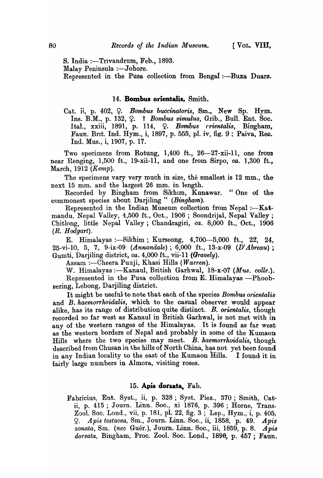S. India :-Trivandrum, Feb., 1893. Malay Peninsula :- Johore. Represented in the Pusa collection from Bengal :- Buxa Duars.

# 14. **Bombus orientalis,** Smith.

Cat. ii, p. 402,  $\varphi$ . *Bombus buccinatoris*, Sm., New Sp. Hym. Ins. B.M., p. 132,~. 1 *Bombus simulus,* Grib., Bull. Ent. Soc. Ital., xxiii, 1891, p. 114, Q. *Bombus crientalis*, Bingham, Faun. Brit. Ind. Hym., i, 1897, p. 555, pl. iv, fig. 9; Paiva, Rec. Ind. Mus., i, 1907, p. 17.

Two specimens from Rotung, 1,400 ft., 26-27-xii-11, one from near Renging, 1,500 ft., 19-xii-l1, and one from Sirpo, *ca.* 1,300 ft., March, 1912 *(Kemp).* 

The specimens vary very much in size, the smallest is 12 mm., the next 15 mm. and the largest 26 mm. in. length.

Recorded by Bingham from Sikhim, Kunawar. "One of the commonest species about Darjiling " *(Bingham)*.

Represented in the Indian Museum collection from Nepal :--Katmandu, Nepal Valley, 4,500 ft., Oct., 1906; Soondrijal, Nepal Valley; Chitlong, little Nepal Valley; Chandragiri, *ca.* 8,000 ft., Oct., 1906 *(R. H odgart).* 

E. Himalayas :—Sikhim ; Kurseong,  $4,700-5,000$  ft.,  $22, 24$ , 25-vi-lO, 5, 7, 9-ix-09 *(Annandale);* 6,000 ft., 13-x-09 (D' *Abreau) ;*  Gumti, Darjiling district, *ca.* 4,000 ft., vii-II *(Gravely).* 

Assam :—Cheera Puuji, Khasi Hills (*Warren*).

W. Himalayas:—Kanaul, British Garhwal, 18-x-07 *(Mus. collr.)*. Represented in the Pusa collection from  $E$ . Himalayas --Phoobsering, Lebong, Darjiling district.

It might be useful to note that each of the species *Bombus orientalis* and B. *haemorrhoidalis,* which to the casual observer would appear alike, has its range of distribution quite distinct. B. *orientalis,* though recorded so far west as Kanaul in British Garhwal, is not met with in any of the western ranges of the Himalayas. It is found as far west as the western borders of Nepal and probably in some of the Kumaon Hills where the two species may meet. B. haemorrhoidalis, though described from Chusan in the hills of North China, has not yet been found in any Indian locality to the east of the Kumaon Hills. I found it in fairly large numbers in Almora, visiting roses.

# 15. **Apia dorsata,** Fab.

Fabricius, Ent. Syst., ii, p. 328; Syst. Piez., 370; Smith, Catii, p. 415; Journ. Linn. Soc., xi 1876, p. 396; Horne, Trans. Zool. Soc. Lond., vii, p. 181, pl. 22, fig. 3; Lep., Hym., i, p. 405, ~. *A pis testaeea,* Sm., J ourn. Linn. Soc., ii, 1858, p. 49. *Apia zonata)* Sm. *(nee* Guer.), Journ. Linn. Soc., iii, 1859, p. 8. *Apia*  dorsata, Bingham, Proc. Zool. Soc. Lond., 1896, p. 457; Faun.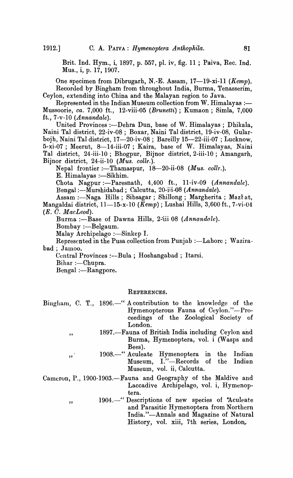Brit. Ind. Hyrn., i, 1897, p. 557, pI. iv, fig. 11 ; Paiva, Rec. Ind. Mus., i, p. 17, 1907.

One specimen from Dibrugarh, N.-E. Assam, 17-19-xi-11 *(Kemp)*. Recorded by Bingham from throughout India, Burma, Tenasserim, Ceylon, extending into China and the Malayan region to Java.

Represented in the Indian Museum collection from W. Himalayas :-Mussoorie, *ca.* 7,000 ft., 12-viii-05 *(Brunetti)* ; Kumaon; Simla, 7,000 ft., 7 -v-10 *(Annandale).* 

United Provinces :- Dehra Dun, base of W. Himalayas; Dhikala, Naini Tal district, 22-iv-08; Boxar, Naini Tal district, 19-iv-08, Gularbojh, Naini Tal district, 17-20-iv-08 ; Bareilly 15-22-iii-07 ; Lucknow, 5-xi-07 ; Meerut, 8-14-iii-07; Kaira, base of W. Himalayas, Naini Tal district, 24-iii-lO; Bhogpur, Bijnor district, 2-iii-IO ; Amangarh, Bijnor district, 24-ii-IO *(Mus. collr.).* 

Nepal frontier :- Thamaspur, 18-20-ii-08 *(Mus. collr.)*.

E. Himalayas :- Sikhim.

Chota Nagpur :-Paresnath, 4,400 ft., ll-iv-09 *(Annandale).*  Bengal :-Murshidabad; Calcutta, 20-iii-08 *(Annandale).* 

Assam :- Naga Hills; Sibsagar; Shillong; Margherita; Maztat, Mangaldai district, 11-15-x-10 *(Kemp)*; Lushai Hills, 3,600 ft., 7-vi-04 *(E. C. MacLeod).* 

Burma :-Base of Dawna Hills, 2-iii 08 (Annandale).

Bombay :--Belgaum.

Malay Archipelago :- Sinkep I.

Represented in the Pusa collection from Punjab :- Lahore ; Wazirabad; Jamoo.

Central Provinces :--Bula ; Hoshangabad; Itarsi.

 $Bihar := Chupra.$ 

,,

Bengal :- Rangpore.

# REFERENCES.

Bingham, C. T., 1896.<sup>-"</sup> A contribution to the knowledge of the Hymenopterous Fauna of Ceylon."-Proceedings of the Zoological Society of London.

- 1897.-Fauna of British India including Ceylon and Burma, Hymenoptera, vol. i (Wasps and Bees).
- ,, 1908.-" Aculeate Hymenoptera in the Indian Museum, I."-Records of the Indian Museum, vol. ii, Calcutta.

Cameron, P., 1900-1903.--Fauna and Geography of the Maldive and Laccadive Archipelago, vol. i, Hymenoptera.

,, 1904.<sup>"</sup> Descriptions of new species of 'Aculeate' and Parasitic Hymenoptera from Northern India."-Annals and Magazine of Natural History, vol. xiii, 7th series, London..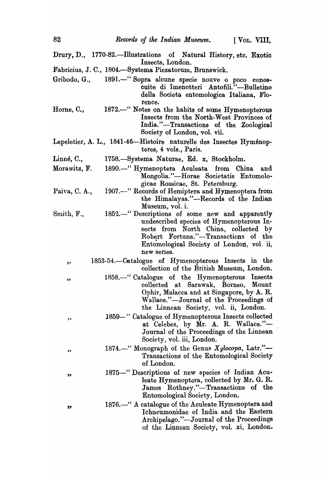Drury, D., 1770-82.--Illustrations of Natural History, etc. Exotic Insects, London. Fabricius, J. C., 1804.-Systema Piezatorum, Brunswick. Gribodo, G., 1891.-" Sopra alcune specie nouve o poco conoscuite di Imenotteri Antofili."-Bulletino della Societa entomologica Italiana, Florence. 1872.-" Notes on the habits of some Hymenopterous Horne, C., Insects from the North-West Provinces of India."-Transactions of the Zoological Society of London, vol. vii. Lepeletier, A. L., 1841-46-Histoire naturelle des Insectes Hyménopteres, 4 vols., Paris. Linné, C., 1758.-Systema Naturae, Ed. x, Stockholm. Morawitz, F. 1890.-" Hymenoptera Aculeata from China and Mongolia."-Horae Societatis Entomologicae Rossicae, St. Petersburg. 1907.---" Records of Hemiptera and Hymenoptera from Paiva, C. A., the Himalayas."-Records of the Indian Museum, vol. i. Smith, F., 1852.<sup>-"</sup> Descriptions of some new and apparently undescribed species of Hymenopterous Insects from North China, collected by Robert Fortune."-Transactions of the Entomological Society of London, vol. ii, new serIes. 1853-54.—Catalogue of Hymenopterous Insects in the  $\mathbf{z}$ collection of the British Museum, London. 1858.-" Catalogue of the Hymenopterous Insects " collected at Sarawak, Borneo, Mount Ophir, Malacca and at Singapore, by A. R. Wallace."-Journal of the Proceedings of the Linnean Society, vol. ii, London. 1859-·" Catalogue of Hymenopterous Insects collected " at Celebes, by Mr. A. R. Wallace."-Journal of the Proceedings of the Linnean Society, vol. iii, London. 1874.<sup>-"</sup> Monograph of the Genus *Xylocopa*, Latr."-" Transactions of the Entomological Society of London. 1875-" Descriptions of new species of Indian Acu- $\bullet$ leate Hymenoptera, collected by Mr. G. R. James Rothney."-Transactions of the Entomological Society, London. 1876.<sup>-"</sup> A catalogue of the Aculeate Hymenoptera and  $^{55}$ Ichneumonidae of India and the Eastern Archipelago."—Journal of the Proceedings of the Linnean Society, vol. xi, London.